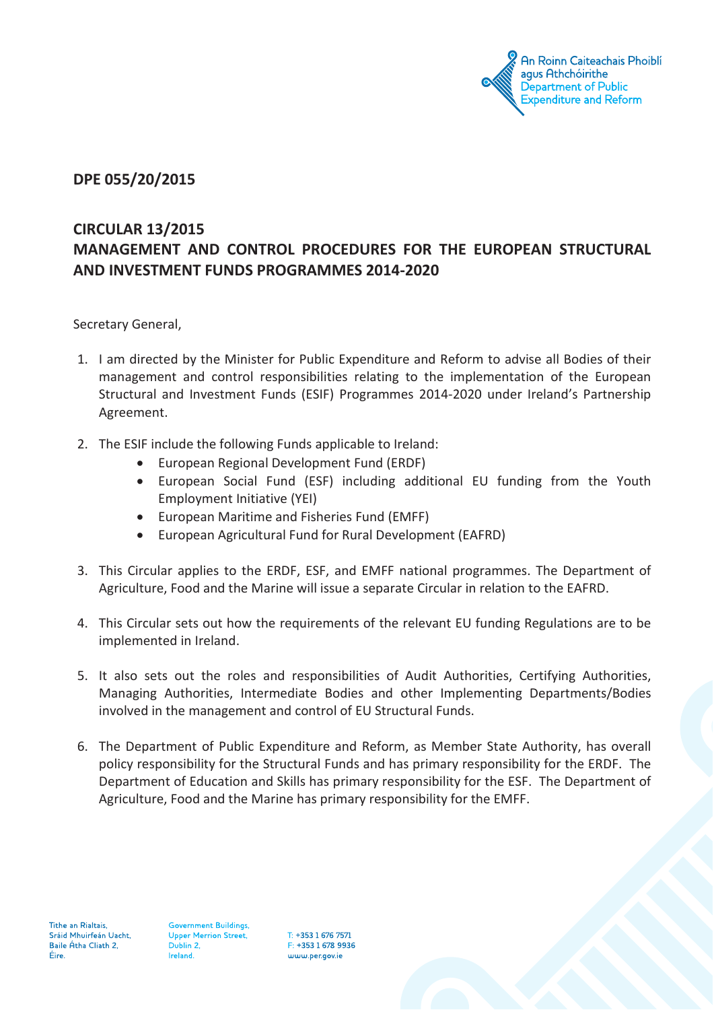

### **DPE 055/20/2015**

## **CIRCULAR 13/2015 MANAGEMENT AND CONTROL PROCEDURES FOR THE EUROPEAN STRUCTURAL AND INVESTMENT FUNDS PROGRAMMES 2014-2020**

Secretary General,

- 1. I am directed by the Minister for Public Expenditure and Reform to advise all Bodies of their management and control responsibilities relating to the implementation of the European Structural and Investment Funds (ESIF) Programmes 2014-2020 under Ireland's Partnership Agreement.
- 2. The ESIF include the following Funds applicable to Ireland:
	- · European Regional Development Fund (ERDF)
	- · European Social Fund (ESF) including additional EU funding from the Youth Employment Initiative (YEI)
	- · European Maritime and Fisheries Fund (EMFF)
	- European Agricultural Fund for Rural Development (EAFRD)
- 3. This Circular applies to the ERDF, ESF, and EMFF national programmes. The Department of Agriculture, Food and the Marine will issue a separate Circular in relation to the EAFRD.
- 4. This Circular sets out how the requirements of the relevant EU funding Regulations are to be implemented in Ireland.
- 5. It also sets out the roles and responsibilities of Audit Authorities, Certifying Authorities, Managing Authorities, Intermediate Bodies and other Implementing Departments/Bodies involved in the management and control of EU Structural Funds.
- 6. The Department of Public Expenditure and Reform, as Member State Authority, has overall policy responsibility for the Structural Funds and has primary responsibility for the ERDF. The Department of Education and Skills has primary responsibility for the ESF. The Department of Agriculture, Food and the Marine has primary responsibility for the EMFF.

**Government Buildings, Upper Merrion Street,** Dublin 2, Ireland.

T: +353 1 676 7571 F: +353 1 678 9936 www.per.gov.je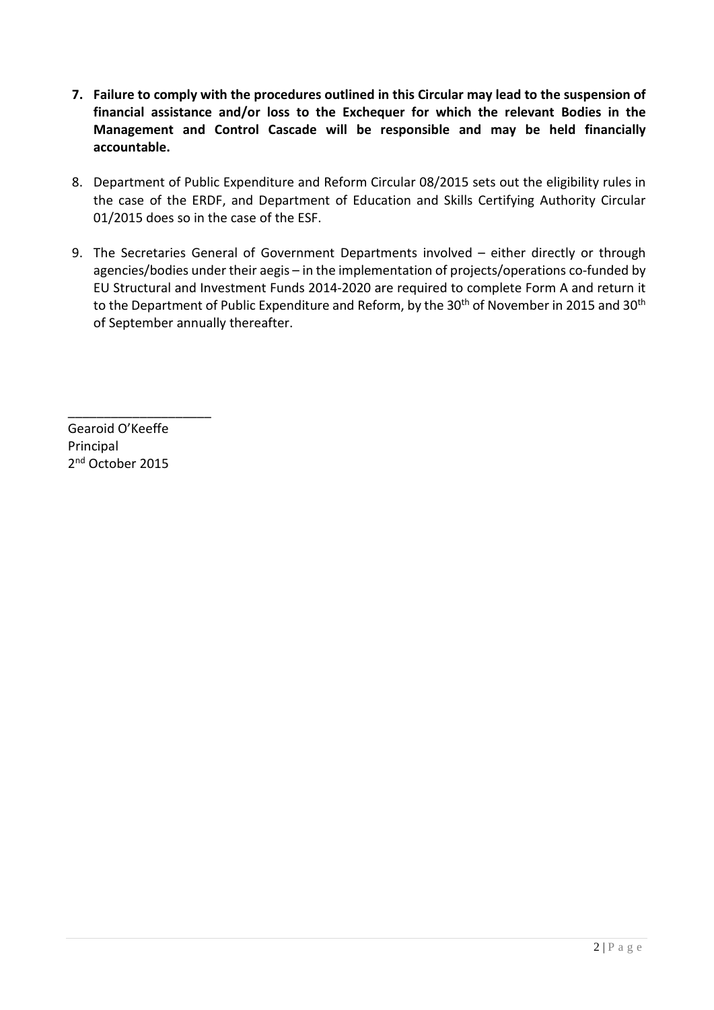- **7. Failure to comply with the procedures outlined in this Circular may lead to the suspension of financial assistance and/or loss to the Exchequer for which the relevant Bodies in the Management and Control Cascade will be responsible and may be held financially accountable.**
- 8. Department of Public Expenditure and Reform Circular 08/2015 sets out the eligibility rules in the case of the ERDF, and Department of Education and Skills Certifying Authority Circular 01/2015 does so in the case of the ESF.
- 9. The Secretaries General of Government Departments involved either directly or through agencies/bodies under their aegis – in the implementation of projects/operations co-funded by EU Structural and Investment Funds 2014-2020 are required to complete Form A and return it to the Department of Public Expenditure and Reform, by the 30<sup>th</sup> of November in 2015 and 30<sup>th</sup> of September annually thereafter.

Gearoid O'Keeffe Principal 2nd October 2015

\_\_\_\_\_\_\_\_\_\_\_\_\_\_\_\_\_\_\_\_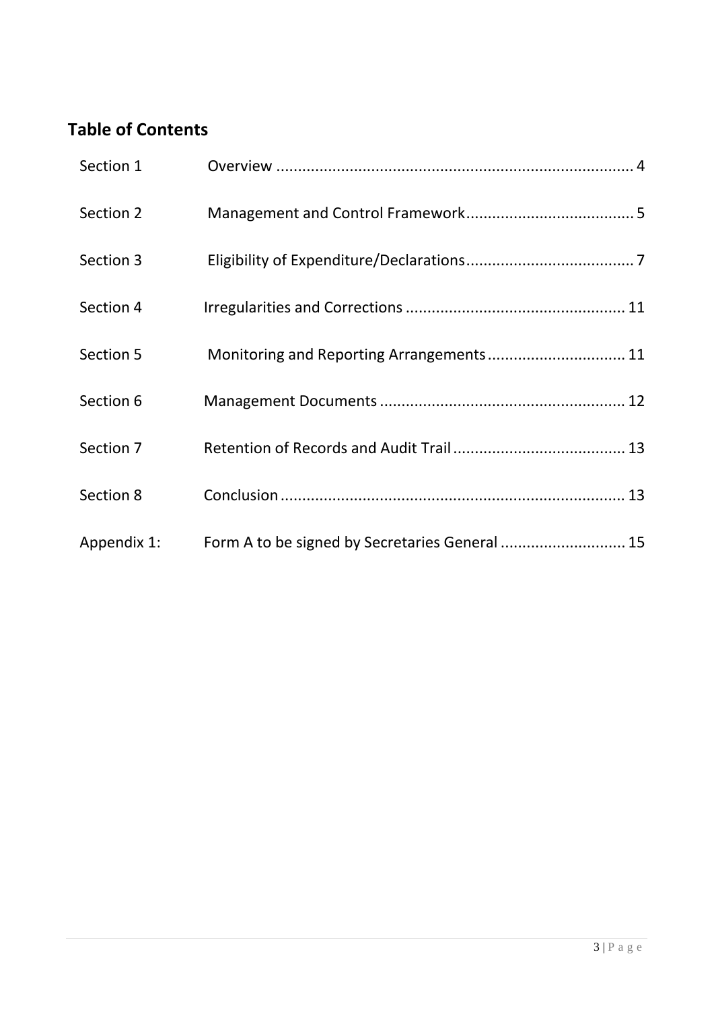# **Table of Contents**

| Section 1   |                                                |  |
|-------------|------------------------------------------------|--|
| Section 2   |                                                |  |
| Section 3   |                                                |  |
| Section 4   |                                                |  |
| Section 5   | Monitoring and Reporting Arrangements 11       |  |
| Section 6   |                                                |  |
| Section 7   |                                                |  |
| Section 8   |                                                |  |
| Appendix 1: | Form A to be signed by Secretaries General  15 |  |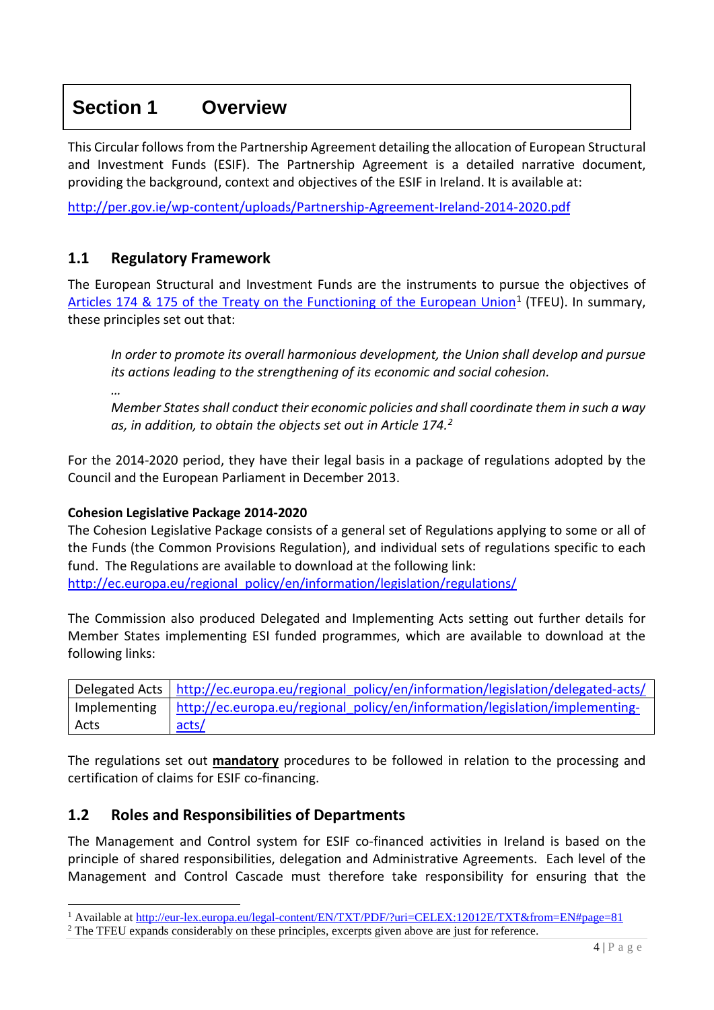## <span id="page-3-0"></span>**Section 1 Overview**

This Circular follows from the Partnership Agreement detailing the allocation of European Structural and Investment Funds (ESIF). The Partnership Agreement is a detailed narrative document, providing the background, context and objectives of the ESIF in Ireland. It is available at:

<http://per.gov.ie/wp-content/uploads/Partnership-Agreement-Ireland-2014-2020.pdf>

### **1.1 Regulatory Framework**

The European Structural and Investment Funds are the instruments to pursue the objectives of [Articles 174 & 175 of the Treaty on the Functioning of the European Union](http://eur-lex.europa.eu/legal-content/EN/TXT/PDF/?uri=CELEX:12012E/TXT&from=EN#page=81)<sup>[1](#page-3-1)</sup> (TFEU). In summary, these principles set out that:

*In order to promote its overall harmonious development, the Union shall develop and pursue its actions leading to the strengthening of its economic and social cohesion.*

*…* 

*Member States shall conduct their economic policies and shall coordinate them in such a way as, in addition, to obtain the objects set out in Article 174.[2](#page-3-2)*

For the 2014-2020 period, they have their legal basis in a package of regulations adopted by the Council and the European Parliament in December 2013.

#### **Cohesion Legislative Package 2014-2020**

The Cohesion Legislative Package consists of a general set of Regulations applying to some or all of the Funds (the Common Provisions Regulation), and individual sets of regulations specific to each fund. The Regulations are available to download at the following link: [http://ec.europa.eu/regional\\_policy/en/information/legislation/regulations/](http://ec.europa.eu/regional_policy/en/information/legislation/regulations/)

The Commission also produced Delegated and Implementing Acts setting out further details for Member States implementing ESI funded programmes, which are available to download at the following links:

|              | Delegated Acts   http://ec.europa.eu/regional_policy/en/information/legislation/delegated-acts/ |
|--------------|-------------------------------------------------------------------------------------------------|
| Implementing | http://ec.europa.eu/regional policy/en/information/legislation/implementing-                    |
| Acts         | acts/                                                                                           |

The regulations set out **mandatory** procedures to be followed in relation to the processing and certification of claims for ESIF co-financing.

### **1.2 Roles and Responsibilities of Departments**

The Management and Control system for ESIF co-financed activities in Ireland is based on the principle of shared responsibilities, delegation and Administrative Agreements. Each level of the Management and Control Cascade must therefore take responsibility for ensuring that the

<span id="page-3-1"></span><sup>1</sup> Available at<http://eur-lex.europa.eu/legal-content/EN/TXT/PDF/?uri=CELEX:12012E/TXT&from=EN#page=81>

<span id="page-3-2"></span><sup>&</sup>lt;sup>2</sup> The TFEU expands considerably on these principles, excerpts given above are just for reference.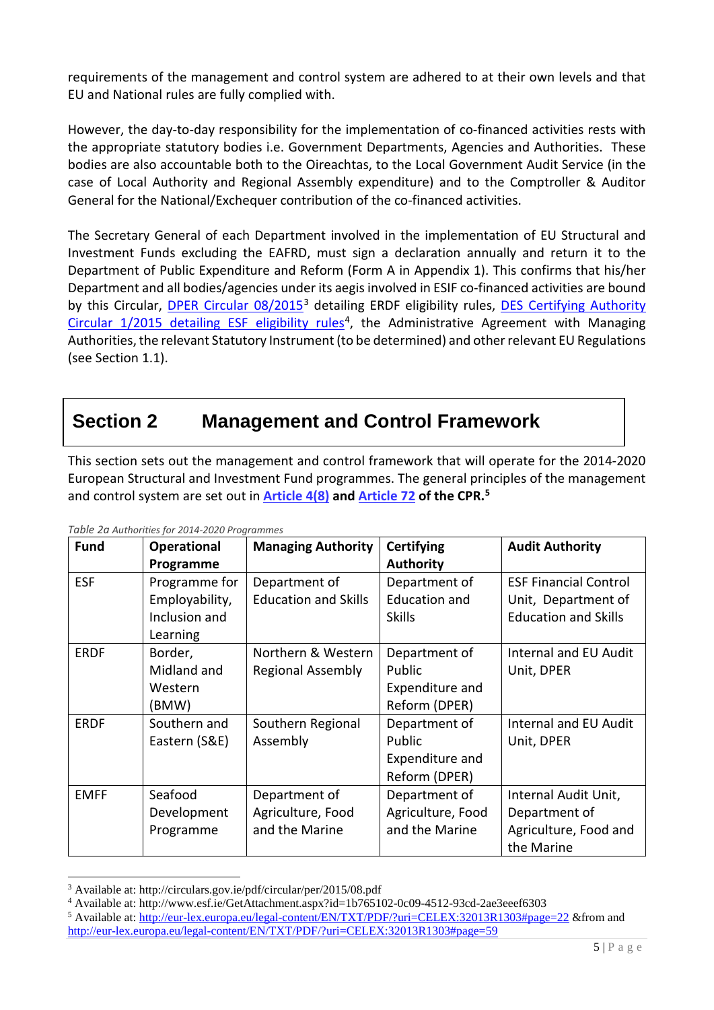<span id="page-4-0"></span>requirements of the management and control system are adhered to at their own levels and that EU and National rules are fully complied with.

However, the day-to-day responsibility for the implementation of co-financed activities rests with the appropriate statutory bodies i.e. Government Departments, Agencies and Authorities. These bodies are also accountable both to the Oireachtas, to the Local Government Audit Service (in the case of Local Authority and Regional Assembly expenditure) and to the Comptroller & Auditor General for the National/Exchequer contribution of the co-financed activities.

The Secretary General of each Department involved in the implementation of EU Structural and Investment Funds excluding the EAFRD, must sign a declaration annually and return it to the Department of Public Expenditure and Reform (Form A in Appendix 1). This confirms that his/her Department and all bodies/agencies under its aegis involved in ESIF co-financed activities are bound by this Circular, [DPER Circular 08/2015](http://circulars.gov.ie/pdf/circular/per/2015/08.pdf)<sup>[3](#page-4-1)</sup> detailing ERDF eligibility rules, DES [Certifying Authority](http://www.esf.ie/GetAttachment.aspx?id=1b765102-0c09-4512-93cd-2ae3eeef6303) Circular  $1/2015$  detailing ESF eligibility rules<sup>4</sup>, the Administrative Agreement with Managing Authorities, the relevant Statutory Instrument (to be determined) and other relevant EU Regulations (see Section 1.1).

## **Section 2 Management and Control Framework**

This section sets out the management and control framework that will operate for the 2014-2020 European Structural and Investment Fund programmes. The general principles of the management and control system are set out in **[Article 4\(8\)](http://eur-lex.europa.eu/legal-content/EN/TXT/PDF/?uri=CELEX:32013R1303#page=22) and [Article 72](http://eur-lex.europa.eu/legal-content/EN/TXT/PDF/?uri=CELEX:32013R1303#page=59) of the CPR.[5](#page-4-3)**

| <b>Fund</b> | <b>Operational</b> | <b>Managing Authority</b>   | Certifying           | <b>Audit Authority</b>       |
|-------------|--------------------|-----------------------------|----------------------|------------------------------|
|             | Programme          |                             | <b>Authority</b>     |                              |
| <b>ESF</b>  | Programme for      | Department of               | Department of        | <b>ESF Financial Control</b> |
|             | Employability,     | <b>Education and Skills</b> | <b>Education and</b> | Unit, Department of          |
|             | Inclusion and      |                             | <b>Skills</b>        | <b>Education and Skills</b>  |
|             | Learning           |                             |                      |                              |
| <b>ERDF</b> | Border,            | Northern & Western          | Department of        | <b>Internal and EU Audit</b> |
|             | Midland and        | <b>Regional Assembly</b>    | Public               | Unit, DPER                   |
|             | Western            |                             | Expenditure and      |                              |
|             | (BMW)              |                             | Reform (DPER)        |                              |
| <b>ERDF</b> | Southern and       | Southern Regional           | Department of        | <b>Internal and EU Audit</b> |
|             | Eastern (S&E)      | Assembly                    | Public               | Unit, DPER                   |
|             |                    |                             | Expenditure and      |                              |
|             |                    |                             | Reform (DPER)        |                              |
| <b>EMFF</b> | Seafood            | Department of               | Department of        | Internal Audit Unit,         |
|             | Development        | Agriculture, Food           | Agriculture, Food    | Department of                |
|             | Programme          | and the Marine              | and the Marine       | Agriculture, Food and        |
|             |                    |                             |                      | the Marine                   |

*Table 2a Authorities for 2014-2020 Programmes*

<sup>3</sup> Available at: http://circulars.gov.ie/pdf/circular/per/2015/08.pdf

<span id="page-4-2"></span><span id="page-4-1"></span><sup>4</sup> Available at: http://www.esf.ie/GetAttachment.aspx?id=1b765102-0c09-4512-93cd-2ae3eeef6303

<span id="page-4-3"></span><sup>5</sup> Available at:<http://eur-lex.europa.eu/legal-content/EN/TXT/PDF/?uri=CELEX:32013R1303#page=22> &from and <http://eur-lex.europa.eu/legal-content/EN/TXT/PDF/?uri=CELEX:32013R1303#page=59>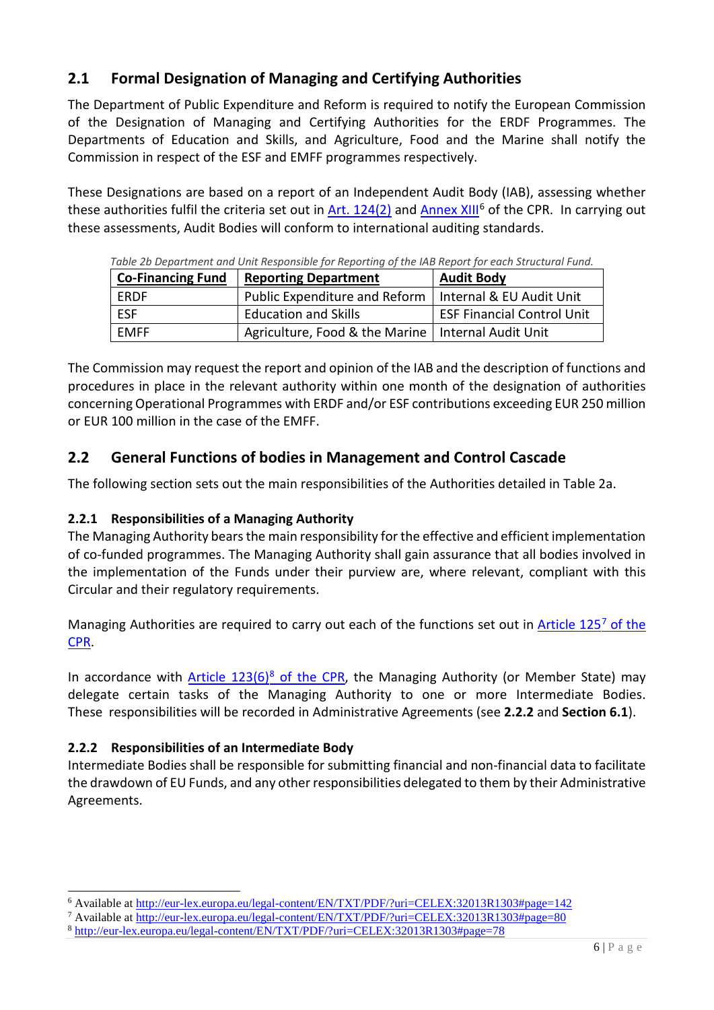## **2.1 Formal Designation of Managing and Certifying Authorities**

The Department of Public Expenditure and Reform is required to notify the European Commission of the Designation of Managing and Certifying Authorities for the ERDF Programmes. The Departments of Education and Skills, and Agriculture, Food and the Marine shall notify the Commission in respect of the ESF and EMFF programmes respectively.

These Designations are based on a report of an Independent Audit Body (IAB), assessing whether these authorities fulfil the criteria set out in Art.  $124(2)$  and [Annex XIII](http://eur-lex.europa.eu/legal-content/EN/TXT/PDF/?uri=CELEX:32013R1303#page=142)<sup>[6](#page-5-0)</sup> of the CPR. In carrying out these assessments, Audit Bodies will conform to international auditing standards.

| <b>Co-Financing Fund</b> | <b>Reporting Department</b>                              | <b>Audit Body</b>          |
|--------------------------|----------------------------------------------------------|----------------------------|
| <b>FRDF</b>              | Public Expenditure and Reform   Internal & EU Audit Unit |                            |
| <b>FSF</b>               | <b>Education and Skills</b>                              | ESF Financial Control Unit |
| <b>FMFF</b>              | Agriculture, Food & the Marine   Internal Audit Unit     |                            |

*Table 2b Department and Unit Responsible for Reporting of the IAB Report for each Structural Fund.*

The Commission may request the report and opinion of the IAB and the description of functions and procedures in place in the relevant authority within one month of the designation of authorities concerning Operational Programmes with ERDF and/or ESF contributions exceeding EUR 250 million or EUR 100 million in the case of the EMFF.

## **2.2 General Functions of bodies in Management and Control Cascade**

The following section sets out the main responsibilities of the Authorities detailed in Table 2a.

### **2.2.1 Responsibilities of a Managing Authority**

The Managing Authority bears the main responsibility for the effective and efficient implementation of co-funded programmes. The Managing Authority shall gain assurance that all bodies involved in the implementation of the Funds under their purview are, where relevant, compliant with this Circular and their regulatory requirements.

Managing Authorities are required to carry out each of the functions set out in Article 125<sup>7</sup> of the [CPR.](http://eur-lex.europa.eu/legal-content/EN/TXT/PDF/?uri=CELEX:32013R1303#page=80)

In accordance with Article  $123(6)^8$  $123(6)^8$  of the CPR, the Managing Authority (or Member State) may delegate certain tasks of the Managing Authority to one or more Intermediate Bodies. These responsibilities will be recorded in Administrative Agreements (see **2.2.2** and **Section 6.1**).

### **2.2.2 Responsibilities of an Intermediate Body**

Intermediate Bodies shall be responsible for submitting financial and non-financial data to facilitate the drawdown of EU Funds, and any other responsibilities delegated to them by their Administrative Agreements.

<span id="page-5-0"></span><sup>&</sup>lt;sup>6</sup> Available at<http://eur-lex.europa.eu/legal-content/EN/TXT/PDF/?uri=CELEX:32013R1303#page=142><br><sup>7</sup> Available at http://eur-lex.europa.eu/legal-content/EN/TXT/PDF/?uri=CELEX:32013R1303#page=80

<span id="page-5-1"></span>

<span id="page-5-2"></span><sup>&</sup>lt;sup>8</sup> http://eur-lex.europa.eu/legal-content/EN/TXT/PDF/?uri=CELEX:32013R1303#page=78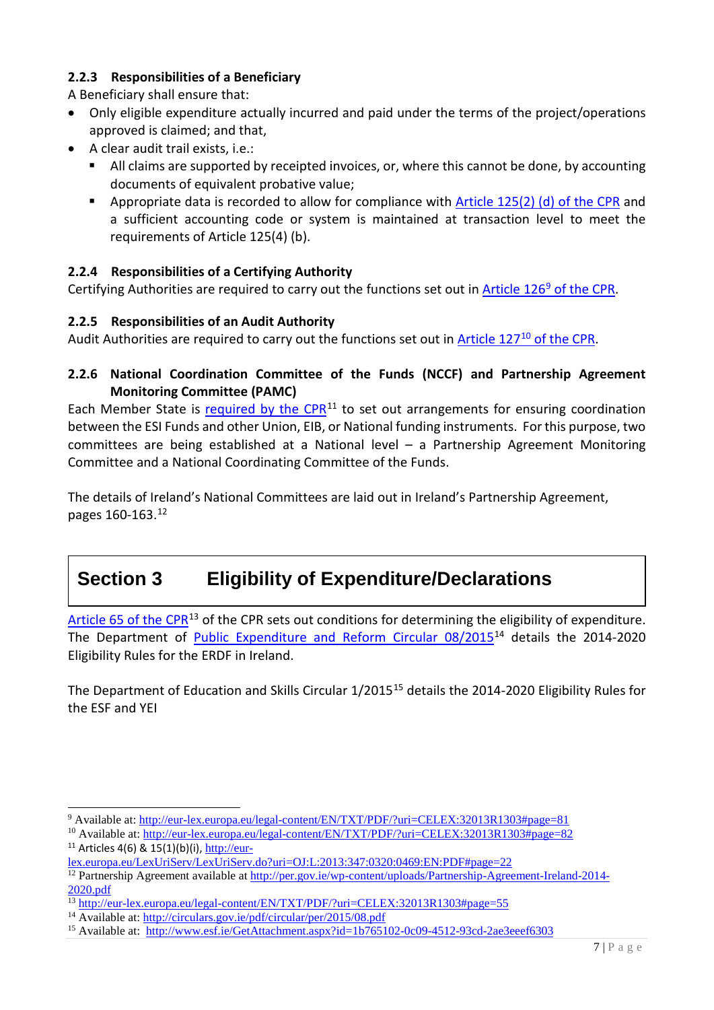### <span id="page-6-0"></span>**2.2.3 Responsibilities of a Beneficiary**

A Beneficiary shall ensure that:

- Only eligible expenditure actually incurred and paid under the terms of the project/operations approved is claimed; and that,
- A clear audit trail exists, i.e.:
	- All claims are supported by receipted invoices, or, where this cannot be done, by accounting documents of equivalent probative value;
	- Appropriate data is recorded to allow for compliance with [Article 125\(2\) \(d\)](http://eur-lex.europa.eu/legal-content/EN/TXT/PDF/?uri=CELEX:32013R1303#page=80) of the CPR and a sufficient accounting code or system is maintained at transaction level to meet the requirements of Article 125(4) (b).

### **2.2.4 Responsibilities of a Certifying Authority**

Certifying Authorities are required to carry out the functions set out in Article 126 $9$  of the CPR.

### **2.2.5 Responsibilities of an Audit Authority**

Audit Authorities are required to carry out the functions set out in Article 127<sup>10</sup> of the CPR.

### **2.2.6 National Coordination Committee of the Funds (NCCF) and Partnership Agreement Monitoring Committee (PAMC)**

Each Member State is required by the  $CPR<sup>11</sup>$  $CPR<sup>11</sup>$  $CPR<sup>11</sup>$  to set out arrangements for ensuring coordination between the ESI Funds and other Union, EIB, or National funding instruments. For this purpose, two committees are being established at a National level – a Partnership Agreement Monitoring Committee and a National Coordinating Committee of the Funds.

The details of Ireland's National Committees are laid out in Ireland's Partnership Agreement, pages 160-163[.12](#page-6-4)

# **Section 3 Eligibility of Expenditure/Declarations**

[Article 65 of the CPR](http://eur-lex.europa.eu/legal-content/EN/TXT/PDF/?uri=CELEX:32013R1303#page=55)<sup>[13](#page-6-5)</sup> of the CPR sets out conditions for determining the eligibility of expenditure. The Department of [Public Expenditure and Reform Circular 08/2015](http://circulars.gov.ie/pdf/circular/per/2015/08.pdf)[14](#page-6-6) details the 2014-2020 Eligibility Rules for the ERDF in Ireland.

The Department of Education and Skills Circular 1/20[15](#page-6-7)<sup>15</sup> details the 2014-2020 Eligibility Rules for the ESF and YEI

<span id="page-6-1"></span><sup>&</sup>lt;sup>9</sup> Available at: http://eur-lex.europa.eu/legal-content/EN/TXT/PDF/?uri=CELEX:32013R1303#page=81<br><sup>10</sup> Available at: http://eur-lex.europa.eu/legal-content/EN/TXT/PDF/?uri=CELEX:32013R1303#page=82

<span id="page-6-2"></span> $11$  Articles 4(6) & 15(1)(b)(i), [http://eur-](http://eur-lex.europa.eu/LexUriServ/LexUriServ.do?uri=OJ:L:2013:347:0320:0469:EN:PDF%23page=22)

<span id="page-6-3"></span>[lex.europa.eu/LexUriServ/LexUriServ.do?uri=OJ:L:2013:347:0320:0469:EN:PDF#page=22](http://eur-lex.europa.eu/LexUriServ/LexUriServ.do?uri=OJ:L:2013:347:0320:0469:EN:PDF#page=22)

<span id="page-6-4"></span><sup>12</sup> Partnership Agreement available at [http://per.gov.ie/wp-content/uploads/Partnership-Agreement-Ireland-2014-](http://per.gov.ie/wp-content/uploads/Partnership-Agreement-Ireland-2014-2020.pdf) [2020.pdf](http://per.gov.ie/wp-content/uploads/Partnership-Agreement-Ireland-2014-2020.pdf)

<span id="page-6-5"></span><sup>&</sup>lt;sup>13</sup> http://eur-lex.europa.eu/legal-content/EN/TXT/PDF/?uri=CELEX:32013R1303#page=55<br><sup>14</sup> Available at:<http://circulars.gov.ie/pdf/circular/per/2015/08.pdf>

<span id="page-6-6"></span>

<span id="page-6-7"></span><sup>&</sup>lt;sup>15</sup> Available at: <http://www.esf.ie/GetAttachment.aspx?id=1b765102-0c09-4512-93cd-2ae3eeef6303>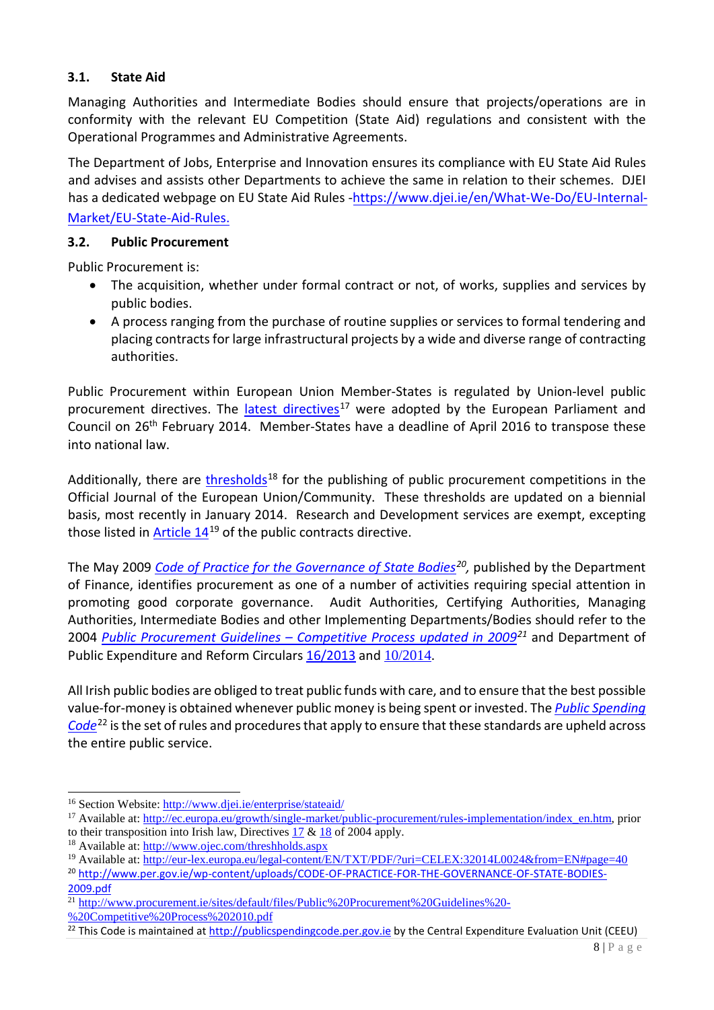### **3.1. State Aid**

Managing Authorities and Intermediate Bodies should ensure that projects/operations are in conformity with the relevant EU Competition (State Aid) regulations and consistent with the Operational Programmes and Administrative Agreements.

The Department of Jobs, Enterprise and Innovation ensures its compliance with EU State Aid Rules and advises and assists other Departments to achieve the same in relation to their schemes. DJEI has a dedicated webpage on EU State Aid Rules -[https://www.djei.ie/en/What-We-Do/EU-Internal-](https://www.djei.ie/en/What-We-Do/EU-Internal-Market/EU-State-Aid-Rules)[Market/EU-State-Aid-Rules.](https://www.djei.ie/en/What-We-Do/EU-Internal-Market/EU-State-Aid-Rules)

#### **3.2. Public Procurement**

Public Procurement is:

- The acquisition, whether under formal contract or not, of works, supplies and services by public bodies.
- A process ranging from the purchase of routine supplies or services to formal tendering and placing contracts for large infrastructural projects by a wide and diverse range of contracting authorities.

Public Procurement within European Union Member-States is regulated by Union-level public procurement directives. The [latest directives](http://eur-lex.europa.eu/legal-content/EN/TXT/PDF/?uri=CELEX:32014L0024&from=EN)<sup>[17](#page-7-0)</sup> were adopted by the European Parliament and Council on 26th February 2014. Member-States have a deadline of April 2016 to transpose these into national law.

Additionally, there are [thresholds](http://www.ojec.com/threshholds.aspx)<sup>[18](#page-7-1)</sup> for the publishing of public procurement competitions in the Official Journal of the European Union/Community. These thresholds are updated on a biennial basis, most recently in January 2014. Research and Development services are exempt, excepting those listed in  $Article 14^{19}$  $Article 14^{19}$  $Article 14^{19}$  of the public contracts directive.

The May 2009 *[Code of Practice for the Governance of State Bodies](http://www.per.gov.ie/wp-content/uploads/CODE-OF-PRACTICE-FOR-THE-GOVERNANCE-OF-STATE-BODIES-2009.pdf)[20,](#page-7-3)* published by the Department of Finance, identifies procurement as one of a number of activities requiring special attention in promoting good corporate governance. Audit Authorities, Certifying Authorities, Managing Authorities, Intermediate Bodies and other Implementing Departments/Bodies should refer to the 2004 *[Public Procurement Guidelines – Competitive Process updated in 2009](http://etenders.gov.ie/Media/Default/Page/Public_Procurement_Guidelines_-_Competitive_Process_2010.pdf)[21](#page-7-4)* and Department of Public Expenditure and Reform Circulars [16/2013](http://circulars.gov.ie/pdf/circular/per/2013/16.pdf) and [10/2014](http://www.procurement.ie/sites/default/files/circular_10-14.pdf).

All Irish public bodies are obliged to treat public funds with care, and to ensure that the best possible value-for-money is obtained whenever public money is being spent or invested. The *[Public Spending](http://publicspendingcode.per.gov.ie/)  [Code](http://publicspendingcode.per.gov.ie/)*[22](#page-7-5) is the set of rules and procedures that apply to ensure that these standards are upheld across the entire public service.

<sup>16</sup> Section Website:<http://www.djei.ie/enterprise/stateaid/>

<span id="page-7-0"></span><sup>&</sup>lt;sup>17</sup> Available at: [http://ec.europa.eu/growth/single-market/public-procurement/rules-implementation/index\\_en.htm,](http://ec.europa.eu/growth/single-market/public-procurement/rules-implementation/index_en.htm) prior to their transposition into Irish law, Directives [17](http://eur-lex.europa.eu/LexUriServ/LexUriServ.do?uri=OJ:L:2004:134:0001:0113:en:PDF) [& 18](http://eur-lex.europa.eu/LexUriServ/LexUriServ.do?uri=OJ:L:2004:134:0114:0240:en:PDF) of 2004 apply.

<span id="page-7-1"></span><sup>18</sup> Available at:<http://www.ojec.com/threshholds.aspx>

<span id="page-7-2"></span><sup>&</sup>lt;sup>19</sup> Available at:<http://eur-lex.europa.eu/legal-content/EN/TXT/PDF/?uri=CELEX:32014L0024&from=EN#page=40>

<span id="page-7-3"></span><sup>20</sup> [http://www.per.gov.ie/wp-content/uploads/CODE-OF-PRACTICE-FOR-THE-GOVERNANCE-OF-STATE-BODIES-](http://www.per.gov.ie/wp-content/uploads/CODE-OF-PRACTICE-FOR-THE-GOVERNANCE-OF-STATE-BODIES-2009.pdf)[2009.pdf](http://www.per.gov.ie/wp-content/uploads/CODE-OF-PRACTICE-FOR-THE-GOVERNANCE-OF-STATE-BODIES-2009.pdf) 

<span id="page-7-4"></span><sup>&</sup>lt;sup>21</sup> [http://www.procurement.ie/sites/default/files/Public%20Procurement%20Guidelines%20-](http://www.procurement.ie/sites/default/files/Public%20Procurement%20Guidelines%20-%20Competitive%20Process%202010.pdf)

[<sup>%20</sup>Competitive%20Process%202010.pdf](http://www.procurement.ie/sites/default/files/Public%20Procurement%20Guidelines%20-%20Competitive%20Process%202010.pdf)

<span id="page-7-5"></span><sup>&</sup>lt;sup>22</sup> This Code is maintained a[t http://publicspendingcode.per.gov.ie](http://publicspendingcode.per.gov.ie/) by the Central Expenditure Evaluation Unit (CEEU)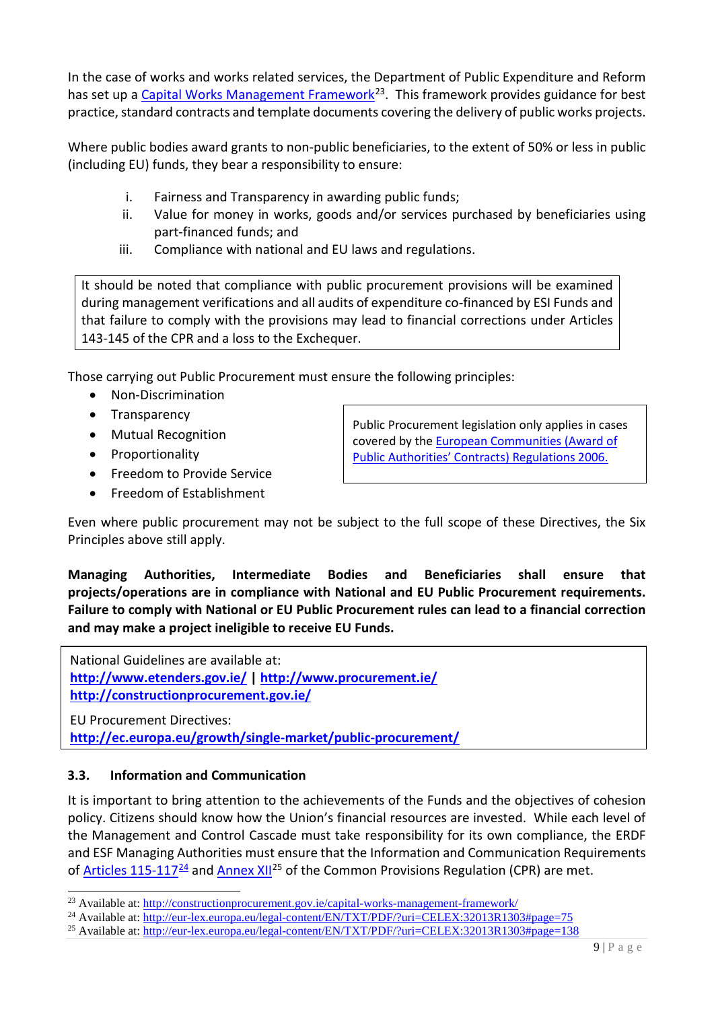In the case of works and works related services, the Department of Public Expenditure and Reform has set up a [Capital Works Management Framework](http://constructionprocurement.gov.ie/capital-works-management-framework/)<sup>[23](#page-8-0)</sup>. This framework provides guidance for best practice, standard contracts and template documents covering the delivery of public works projects.

Where public bodies award grants to non-public beneficiaries, to the extent of 50% or less in public (including EU) funds, they bear a responsibility to ensure:

- i. Fairness and Transparency in awarding public funds;
- ii. Value for money in works, goods and/or services purchased by beneficiaries using part-financed funds; and
- iii. Compliance with national and EU laws and regulations.

It should be noted that compliance with public procurement provisions will be examined during management verifications and all audits of expenditure co-financed by ESI Funds and that failure to comply with the provisions may lead to financial corrections under Articles 143-145 of the CPR and a loss to the Exchequer.

Those carrying out Public Procurement must ensure the following principles:

- Non-Discrimination
- Transparency
- Mutual Recognition
- Proportionality
- Freedom to Provide Service
- Freedom of Establishment

Public Procurement legislation only applies in cases covered by the [European Communities \(Award of](http://www.irishstatutebook.ie/2006/en/si/0329.html)  [Public Authorities' Contracts\) Regulations 2006.](http://www.irishstatutebook.ie/2006/en/si/0329.html)

Even where public procurement may not be subject to the full scope of these Directives, the Six Principles above still apply.

**Managing Authorities, Intermediate Bodies and Beneficiaries shall ensure that projects/operations are in compliance with National and EU Public Procurement requirements. Failure to comply with National or EU Public Procurement rules can lead to a financial correction and may make a project ineligible to receive EU Funds.**

National Guidelines are available at: **<http://www.etenders.gov.ie/> | <http://www.procurement.ie/> http://constructionprocurement.gov.ie/**

EU Procurement Directives: **<http://ec.europa.eu/growth/single-market/public-procurement/>**

### **3.3. Information and Communication**

It is important to bring attention to the achievements of the Funds and the objectives of cohesion policy. Citizens should know how the Union's financial resources are invested. While each level of the Management and Control Cascade must take responsibility for its own compliance, the ERDF and ESF Managing Authorities must ensure that the Information and Communication Requirements of [Articles 115-117](http://eur-lex.europa.eu/legal-content/EN/TXT/PDF/?uri=CELEX:32013R1303#page=75)<sup>[24](#page-8-1)</sup> and [Annex XII](http://eur-lex.europa.eu/legal-content/EN/TXT/PDF/?uri=CELEX:32013R1303#page=138)<sup>[25](#page-8-2)</sup> of the Common Provisions Regulation (CPR) are met.

<span id="page-8-0"></span><sup>&</sup>lt;sup>23</sup> Available at:<http://constructionprocurement.gov.ie/capital-works-management-framework/>

<span id="page-8-1"></span><sup>&</sup>lt;sup>24</sup> Available at:<http://eur-lex.europa.eu/legal-content/EN/TXT/PDF/?uri=CELEX:32013R1303#page=75>

<span id="page-8-2"></span><sup>&</sup>lt;sup>25</sup> Available at:<http://eur-lex.europa.eu/legal-content/EN/TXT/PDF/?uri=CELEX:32013R1303#page=138>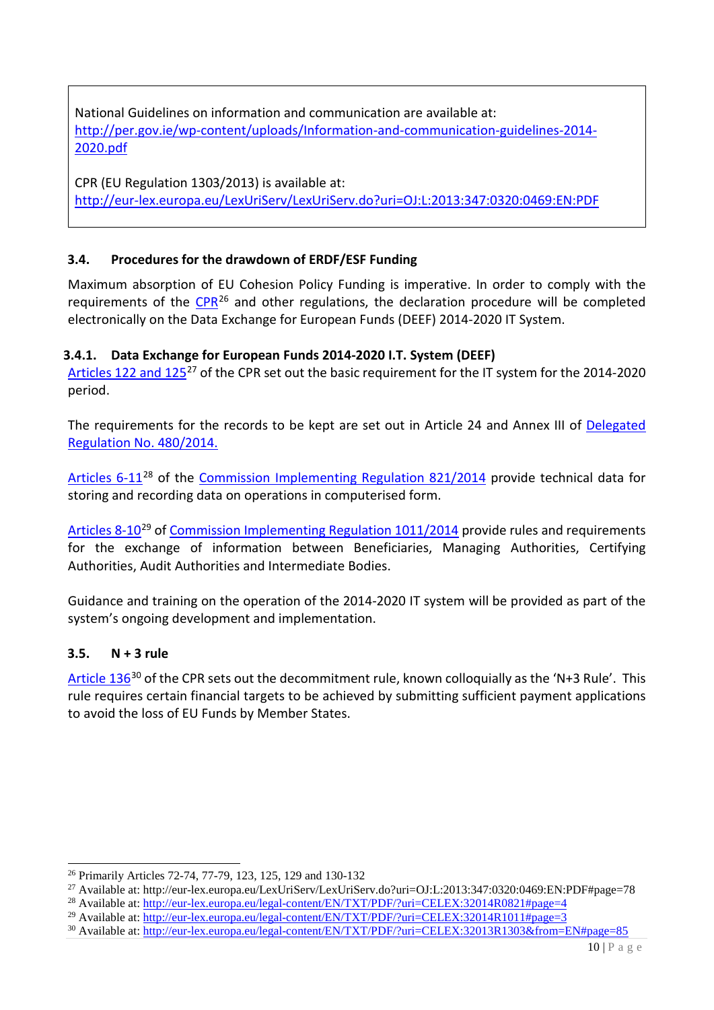National Guidelines on information and communication are available at: [http://per.gov.ie/wp-content/uploads/Information-and-communication-guidelines-2014-](http://per.gov.ie/wp-content/uploads/Information-and-communication-guidelines-2014-2020.pdf) [2020.pdf](http://per.gov.ie/wp-content/uploads/Information-and-communication-guidelines-2014-2020.pdf)

CPR (EU Regulation 1303/2013) is available at: <http://eur-lex.europa.eu/LexUriServ/LexUriServ.do?uri=OJ:L:2013:347:0320:0469:EN:PDF>

### **3.4. Procedures for the drawdown of ERDF/ESF Funding**

Maximum absorption of EU Cohesion Policy Funding is imperative. In order to comply with the requirements of the [CPR](http://eur-lex.europa.eu/LexUriServ/LexUriServ.do?uri=OJ:L:2013:347:0320:0469:EN:PDF#page=59)<sup>[26](#page-9-0)</sup> and other regulations, the declaration procedure will be completed electronically on the Data Exchange for European Funds (DEEF) 2014-2020 IT System.

### **3.4.1. Data Exchange for European Funds 2014-2020 I.T. System (DEEF)**

[Articles 122](http://eur-lex.europa.eu/legal-content/EN/TXT/PDF/?uri=CELEX:32013R1303&from=EN#page=78) and 125<sup>[27](#page-9-1)</sup> of the CPR set out the basic requirement for the IT system for the 2014-2020 period.

The requirements for the records to be kept are set out in Article 24 and Annex III of Delegated [Regulation No. 480/2014.](http://eur-lex.europa.eu/legal-content/EN/TXT/PDF/?uri=CELEX:32014R0480&from=EN) 

[Articles 6-11](http://eur-lex.europa.eu/legal-content/EN/TXT/PDF/?uri=CELEX:32014R0821&from=EN#page=4)<sup>[28](#page-9-2)</sup> of the [Commission Implementing Regulation 821/2014](http://eur-lex.europa.eu/legal-content/EN/TXT/PDF/?uri=CELEX:32014R0821&from=EN) provide technical data for storing and recording data on operations in computerised form.

[Articles 8-10](http://eur-lex.europa.eu/legal-content/EN/TXT/PDF/?uri=CELEX:32014R1011&from=EN#page=3)<sup>[29](#page-9-3)</sup> of [Commission Implementing Regulation 1011/2014](http://eur-lex.europa.eu/legal-content/EN/TXT/PDF/?uri=CELEX:32014R1011&from=EN) provide rules and requirements for the exchange of information between Beneficiaries, Managing Authorities, Certifying Authorities, Audit Authorities and Intermediate Bodies.

Guidance and training on the operation of the 2014-2020 IT system will be provided as part of the system's ongoing development and implementation.

### **3.5. N + 3 rule**

[Article 136](http://eur-lex.europa.eu/legal-content/EN/TXT/PDF/?uri=CELEX:32013R1303&from=EN#page=85)<sup>[30](#page-9-4)</sup> of the CPR sets out the decommitment rule, known colloquially as the 'N+3 Rule'. This rule requires certain financial targets to be achieved by submitting sufficient payment applications to avoid the loss of EU Funds by Member States.

<span id="page-9-0"></span><sup>26</sup> Primarily Articles 72-74, 77-79, 123, 125, 129 and 130-132

<span id="page-9-1"></span><sup>27</sup> Available at: http://eur-lex.europa.eu/LexUriServ/LexUriServ.do?uri=OJ:L:2013:347:0320:0469:EN:PDF#page=78

<span id="page-9-2"></span><sup>&</sup>lt;sup>28</sup> Available at:<http://eur-lex.europa.eu/legal-content/EN/TXT/PDF/?uri=CELEX:32014R0821#page=4>

<span id="page-9-3"></span><sup>&</sup>lt;sup>29</sup> Available at:<http://eur-lex.europa.eu/legal-content/EN/TXT/PDF/?uri=CELEX:32014R1011#page=3>

<span id="page-9-4"></span><sup>&</sup>lt;sup>30</sup> Available at:<http://eur-lex.europa.eu/legal-content/EN/TXT/PDF/?uri=CELEX:32013R1303&from=EN#page=85>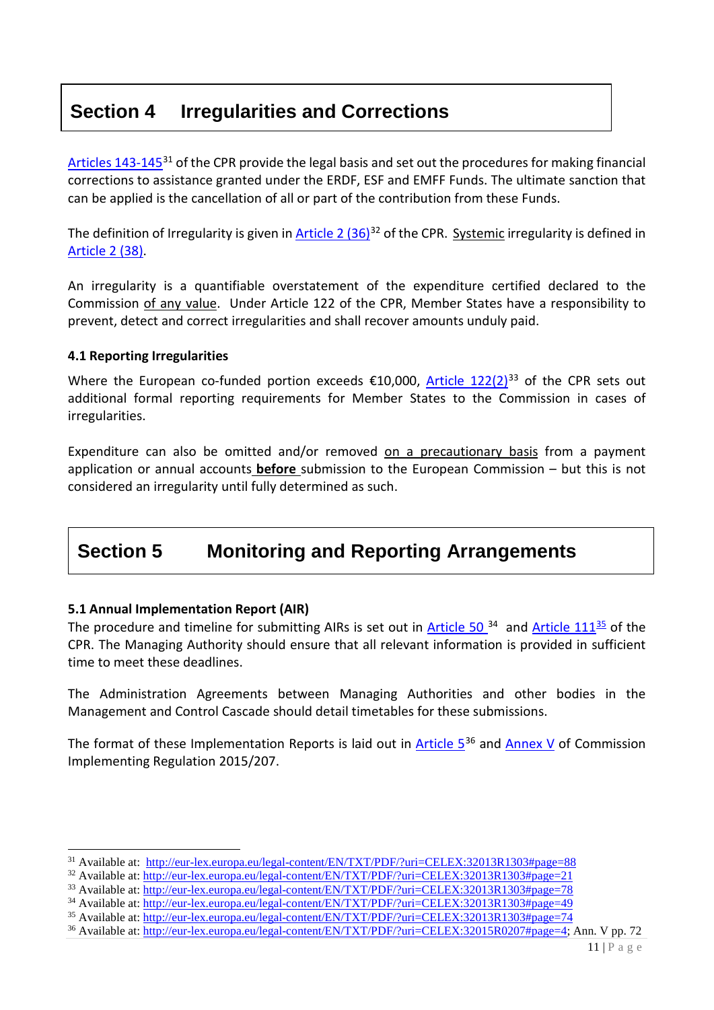## <span id="page-10-0"></span>**Section 4 Irregularities and Corrections**

[Articles 143-145](http://eur-lex.europa.eu/legal-content/EN/TXT/PDF/?uri=CELEX:32013R1303#page=88)<sup>[31](#page-10-1)</sup> of the CPR provide the legal basis and set out the procedures for making financial corrections to assistance granted under the ERDF, ESF and EMFF Funds. The ultimate sanction that can be applied is the cancellation of all or part of the contribution from these Funds.

The definition of Irregularity is given in Article 2  $(36)^{32}$  $(36)^{32}$  $(36)^{32}$  of the CPR. Systemic irregularity is defined in [Article 2 \(38\).](http://eur-lex.europa.eu/legal-content/EN/TXT/PDF/?uri=CELEX:32013R1303#page=21)

An irregularity is a quantifiable overstatement of the expenditure certified declared to the Commission of any value. Under Article 122 of the CPR, Member States have a responsibility to prevent, detect and correct irregularities and shall recover amounts unduly paid.

#### **4.1 Reporting Irregularities**

Where the European co-funded portion exceeds  $\epsilon$ 10,000, [Article 122\(](http://eur-lex.europa.eu/legal-content/EN/TXT/PDF/?uri=CELEX:32013R1303#page=78)2)<sup>[33](#page-10-3)</sup> of the CPR sets out additional formal reporting requirements for Member States to the Commission in cases of irregularities.

Expenditure can also be omitted and/or removed on a precautionary basis from a payment application or annual accounts **before** submission to the European Commission – but this is not considered an irregularity until fully determined as such.

## **Section 5 Monitoring and Reporting Arrangements**

### **5.1 Annual Implementation Report (AIR)**

The procedure and timeline for submitting AIRs is set out in  $\frac{\text{Article 50}}{34}$  $\frac{\text{Article 50}}{34}$  $\frac{\text{Article 50}}{34}$  and  $\frac{\text{Article 111}}{35}$  $\frac{\text{Article 111}}{35}$  $\frac{\text{Article 111}}{35}$  of the CPR. The Managing Authority should ensure that all relevant information is provided in sufficient time to meet these deadlines.

The Administration Agreements between Managing Authorities and other bodies in the Management and Control Cascade should detail timetables for these submissions.

The format of these Implementation Reports is laid out in Article  $5^{36}$  $5^{36}$  $5^{36}$  and [Annex V](http://eur-lex.europa.eu/legal-content/EN/TXT/PDF/?uri=CELEX:32015R0207%23page=72) of Commission Implementing Regulation 2015/207.

<span id="page-10-1"></span><sup>&</sup>lt;sup>31</sup> Available at: [http://eur-lex.europa.eu/legal-content/EN/TXT/PDF/?uri=CELEX:32013R1303#page=88](http://eur-lex.europa.eu/legal-content/EN/TXT/PDF/?uri=CELEX:32013R1303%23page=88)

<span id="page-10-2"></span><sup>32</sup> Available at: [http://eur-lex.europa.eu/legal-content/EN/TXT/PDF/?uri=CELEX:32013R1303#page=21](http://eur-lex.europa.eu/legal-content/EN/TXT/PDF/?uri=CELEX:32013R1303%23page=21)

<span id="page-10-3"></span><sup>&</sup>lt;sup>33</sup> Available at: [http://eur-lex.europa.eu/legal-content/EN/TXT/PDF/?uri=CELEX:32013R1303#page=78](http://eur-lex.europa.eu/legal-content/EN/TXT/PDF/?uri=CELEX:32013R1303%23page=78)

<span id="page-10-4"></span><sup>&</sup>lt;sup>34</sup> Available at: [http://eur-lex.europa.eu/legal-content/EN/TXT/PDF/?uri=CELEX:32013R1303#page=49](http://eur-lex.europa.eu/legal-content/EN/TXT/PDF/?uri=CELEX:32013R1303%23page=49)

<span id="page-10-5"></span><sup>35</sup> Available at: [http://eur-lex.europa.eu/legal-content/EN/TXT/PDF/?uri=CELEX:32013R1303#page=74](http://eur-lex.europa.eu/legal-content/EN/TXT/PDF/?uri=CELEX:32013R1303%23page=74)

<span id="page-10-6"></span><sup>&</sup>lt;sup>36</sup> Available at: [http://eur-lex.europa.eu/legal-content/EN/TXT/PDF/?uri=CELEX:32015R0207#page=4;](http://eur-lex.europa.eu/legal-content/EN/TXT/PDF/?uri=CELEX:32015R0207%23page=4) Ann. V pp. 72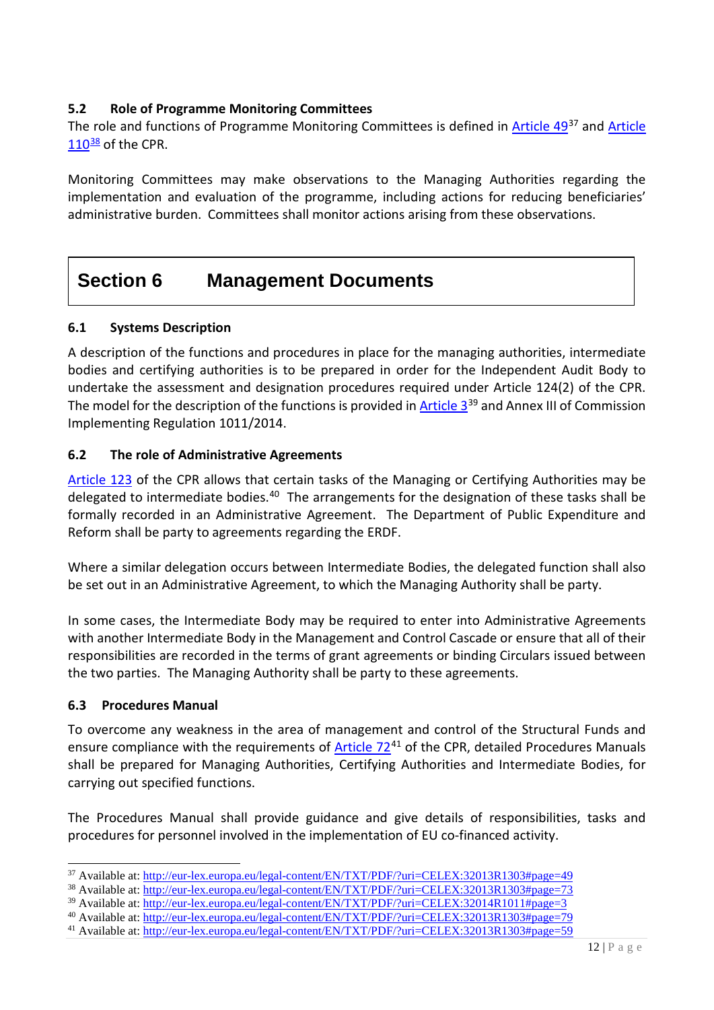### <span id="page-11-0"></span>**5.2 Role of Programme Monitoring Committees**

The role and functions of Programme Monitoring Committees is defined in [Article 49](http://eur-lex.europa.eu/legal-content/EN/TXT/PDF/?uri=CELEX:32013R1303#page=49)<sup>[37](#page-11-1)</sup> and Article  $110^{38}$  $110^{38}$  $110^{38}$  $110^{38}$  of the CPR.

Monitoring Committees may make observations to the Managing Authorities regarding the implementation and evaluation of the programme, including actions for reducing beneficiaries' administrative burden. Committees shall monitor actions arising from these observations.

## **Section 6 Management Documents**

### **6.1 Systems Description**

A description of the functions and procedures in place for the managing authorities, intermediate bodies and certifying authorities is to be prepared in order for the Independent Audit Body to undertake the assessment and designation procedures required under Article 124(2) of the CPR. The model for the description of the functions is provided in Article  $3^{39}$  $3^{39}$  $3^{39}$  and Annex III of Commission Implementing Regulation 1011/2014.

### **6.2 The role of Administrative Agreements**

[Article 123](http://eur-lex.europa.eu/legal-content/EN/TXT/PDF/?uri=CELEX:32013R1303#page=79) of the CPR allows that certain tasks of the Managing or Certifying Authorities may be delegated to intermediate bodies.<sup>[40](#page-11-4)</sup> The arrangements for the designation of these tasks shall be formally recorded in an Administrative Agreement. The Department of Public Expenditure and Reform shall be party to agreements regarding the ERDF.

Where a similar delegation occurs between Intermediate Bodies, the delegated function shall also be set out in an Administrative Agreement, to which the Managing Authority shall be party.

In some cases, the Intermediate Body may be required to enter into Administrative Agreements with another Intermediate Body in the Management and Control Cascade or ensure that all of their responsibilities are recorded in the terms of grant agreements or binding Circulars issued between the two parties. The Managing Authority shall be party to these agreements.

### **6.3 Procedures Manual**

To overcome any weakness in the area of management and control of the Structural Funds and ensure compliance with the requirements of [Article 72](http://eur-lex.europa.eu/legal-content/EN/TXT/PDF/?uri=CELEX:32013R1303#page=59)<sup>[41](#page-11-5)</sup> of the CPR, detailed Procedures Manuals shall be prepared for Managing Authorities, Certifying Authorities and Intermediate Bodies, for carrying out specified functions.

The Procedures Manual shall provide guidance and give details of responsibilities, tasks and procedures for personnel involved in the implementation of EU co-financed activity.

<span id="page-11-1"></span> <sup>37</sup> Available at:<http://eur-lex.europa.eu/legal-content/EN/TXT/PDF/?uri=CELEX:32013R1303#page=49>

<span id="page-11-2"></span><sup>&</sup>lt;sup>38</sup> Available at:<http://eur-lex.europa.eu/legal-content/EN/TXT/PDF/?uri=CELEX:32013R1303#page=73>

<span id="page-11-3"></span><sup>&</sup>lt;sup>39</sup> Available at:<http://eur-lex.europa.eu/legal-content/EN/TXT/PDF/?uri=CELEX:32014R1011#page=3>

<span id="page-11-4"></span><sup>40</sup> Available at:<http://eur-lex.europa.eu/legal-content/EN/TXT/PDF/?uri=CELEX:32013R1303#page=79>

<span id="page-11-5"></span><sup>41</sup> Available at:<http://eur-lex.europa.eu/legal-content/EN/TXT/PDF/?uri=CELEX:32013R1303#page=59>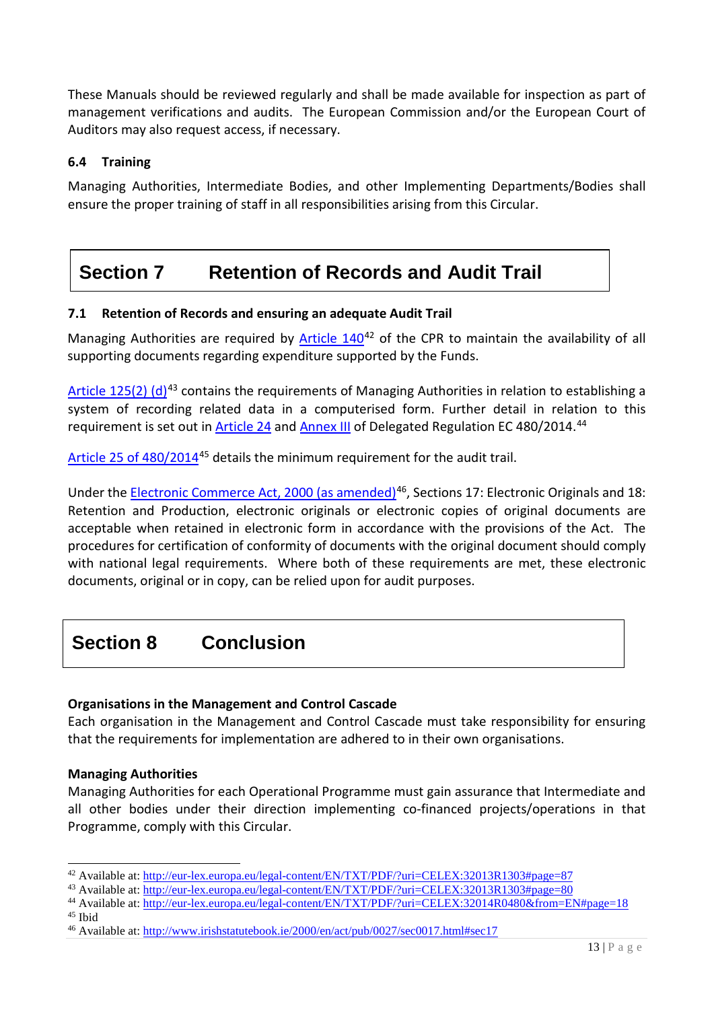<span id="page-12-0"></span>These Manuals should be reviewed regularly and shall be made available for inspection as part of management verifications and audits. The European Commission and/or the European Court of Auditors may also request access, if necessary.

### **6.4 Training**

Managing Authorities, Intermediate Bodies, and other Implementing Departments/Bodies shall ensure the proper training of staff in all responsibilities arising from this Circular.

# **Section 7 Retention of Records and Audit Trail**

### **7.1 Retention of Records and ensuring an adequate Audit Trail**

Managing Authorities are required by [Article 140](http://eur-lex.europa.eu/legal-content/EN/TXT/PDF/?uri=CELEX:32013R1303#page=87)<sup>[42](#page-12-1)</sup> of the CPR to maintain the availability of all supporting documents regarding expenditure supported by the Funds.

[Article 125\(2\) \(d\)](http://eur-lex.europa.eu/legal-content/EN/TXT/PDF/?uri=CELEX:32013R1303#page=80)<sup>[43](#page-12-2)</sup> contains the requirements of Managing Authorities in relation to establishing a system of recording related data in a computerised form. Further detail in relation to this requirement is set out in [Article 24](http://eur-lex.europa.eu/legal-content/EN/TXT/PDF/?uri=CELEX:32014R0480&from=EN#page=18) and [Annex III](http://eur-lex.europa.eu/legal-content/EN/TXT/PDF/?uri=CELEX:32014R0480&from=EN#page=30) of Delegated Regulation EC 480/2014.<sup>[44](#page-12-3)</sup>

[Article 25 of 480/2014](http://eur-lex.europa.eu/legal-content/EN/TXT/PDF/?uri=CELEX:32014R0480&from=EN#page=18)[45](#page-12-4) details the minimum requirement for the audit trail.

Under th[e Electronic Commerce Act, 2000 \(as amended\)](http://www.irishstatutebook.ie/2000/en/act/pub/0027/sec0017.html#sec17)<sup>[46](#page-12-5)</sup>, Sections 17: Electronic Originals and 18: Retention and Production, electronic originals or electronic copies of original documents are acceptable when retained in electronic form in accordance with the provisions of the Act. The procedures for certification of conformity of documents with the original document should comply with national legal requirements. Where both of these requirements are met, these electronic documents, original or in copy, can be relied upon for audit purposes.

# **Section 8 Conclusion**

### **Organisations in the Management and Control Cascade**

Each organisation in the Management and Control Cascade must take responsibility for ensuring that the requirements for implementation are adhered to in their own organisations.

### **Managing Authorities**

Managing Authorities for each Operational Programme must gain assurance that Intermediate and all other bodies under their direction implementing co-financed projects/operations in that Programme, comply with this Circular.

<span id="page-12-4"></span><sup>45</sup> Ibid

<span id="page-12-1"></span><sup>42</sup> Available at:<http://eur-lex.europa.eu/legal-content/EN/TXT/PDF/?uri=CELEX:32013R1303#page=87>

<span id="page-12-2"></span><sup>43</sup> Available at:<http://eur-lex.europa.eu/legal-content/EN/TXT/PDF/?uri=CELEX:32013R1303#page=80>

<span id="page-12-3"></span><sup>44</sup> Available at:<http://eur-lex.europa.eu/legal-content/EN/TXT/PDF/?uri=CELEX:32014R0480&from=EN#page=18>

<span id="page-12-5"></span><sup>&</sup>lt;sup>46</sup> Available at:<http://www.irishstatutebook.ie/2000/en/act/pub/0027/sec0017.html#sec17>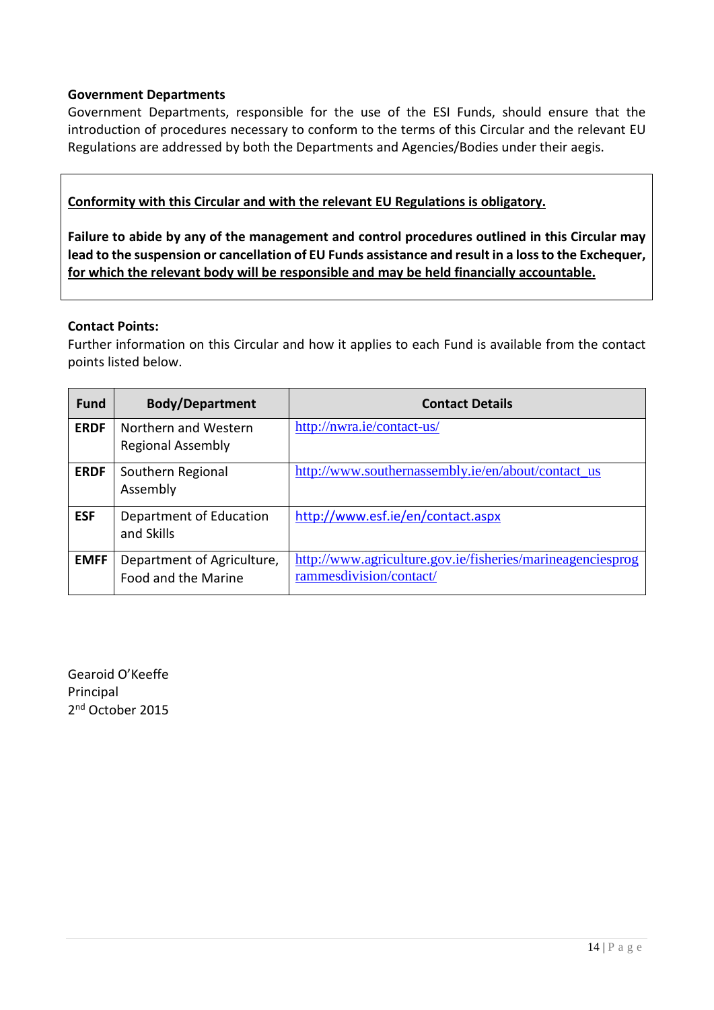#### **Government Departments**

Government Departments, responsible for the use of the ESI Funds, should ensure that the introduction of procedures necessary to conform to the terms of this Circular and the relevant EU Regulations are addressed by both the Departments and Agencies/Bodies under their aegis.

### **Conformity with this Circular and with the relevant EU Regulations is obligatory.**

**Failure to abide by any of the management and control procedures outlined in this Circular may lead to the suspension or cancellation of EU Funds assistance and result in a loss to the Exchequer, for which the relevant body will be responsible and may be held financially accountable.** 

#### **Contact Points:**

Further information on this Circular and how it applies to each Fund is available from the contact points listed below.

| <b>Fund</b> | <b>Body/Department</b>                            | <b>Contact Details</b>                                                                |
|-------------|---------------------------------------------------|---------------------------------------------------------------------------------------|
| <b>ERDF</b> | Northern and Western<br><b>Regional Assembly</b>  | http://nwra.ie/contact-us/                                                            |
| <b>ERDF</b> | Southern Regional<br>Assembly                     | http://www.southernassembly.ie/en/about/contact_us                                    |
| <b>ESF</b>  | Department of Education<br>and Skills             | http://www.esf.ie/en/contact.aspx                                                     |
| <b>EMFF</b> | Department of Agriculture,<br>Food and the Marine | http://www.agriculture.gov.ie/fisheries/marineagenciesprog<br>rammesdivision/contact/ |

Gearoid O'Keeffe Principal 2<sup>nd</sup> October 2015